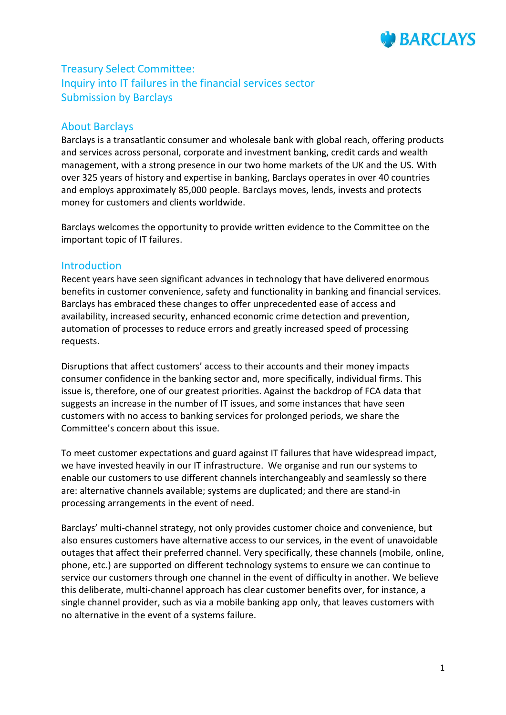

# Treasury Select Committee: Inquiry into IT failures in the financial services sector Submission by Barclays

## About Barclays

Barclays is a transatlantic consumer and wholesale bank with global reach, offering products and services across personal, corporate and investment banking, credit cards and wealth management, with a strong presence in our two home markets of the UK and the US. With over 325 years of history and expertise in banking, Barclays operates in over 40 countries and employs approximately 85,000 people. Barclays moves, lends, invests and protects money for customers and clients worldwide.

Barclays welcomes the opportunity to provide written evidence to the Committee on the important topic of IT failures.

## **Introduction**

Recent years have seen significant advances in technology that have delivered enormous benefits in customer convenience, safety and functionality in banking and financial services. Barclays has embraced these changes to offer unprecedented ease of access and availability, increased security, enhanced economic crime detection and prevention, automation of processes to reduce errors and greatly increased speed of processing requests.

Disruptions that affect customers' access to their accounts and their money impacts consumer confidence in the banking sector and, more specifically, individual firms. This issue is, therefore, one of our greatest priorities. Against the backdrop of FCA data that suggests an increase in the number of IT issues, and some instances that have seen customers with no access to banking services for prolonged periods, we share the Committee's concern about this issue.

To meet customer expectations and guard against IT failures that have widespread impact, we have invested heavily in our IT infrastructure. We organise and run our systems to enable our customers to use different channels interchangeably and seamlessly so there are: alternative channels available; systems are duplicated; and there are stand-in processing arrangements in the event of need.

Barclays' multi-channel strategy, not only provides customer choice and convenience, but also ensures customers have alternative access to our services, in the event of unavoidable outages that affect their preferred channel. Very specifically, these channels (mobile, online, phone, etc.) are supported on different technology systems to ensure we can continue to service our customers through one channel in the event of difficulty in another. We believe this deliberate, multi-channel approach has clear customer benefits over, for instance, a single channel provider, such as via a mobile banking app only, that leaves customers with no alternative in the event of a systems failure.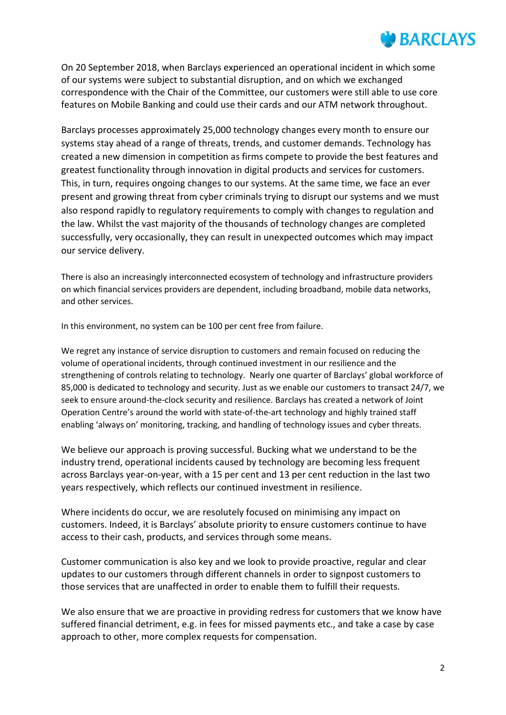

On 20 September 2018, when Barclays experienced an operational incident in which some of our systems were subject to substantial disruption, and on which we exchanged correspondence with the Chair of the Committee, our customers were still able to use core features on Mobile Banking and could use their cards and our ATM network throughout.

Barclays processes approximately 25,000 technology changes every month to ensure our systems stay ahead of a range of threats, trends, and customer demands. Technology has created a new dimension in competition as firms compete to provide the best features and greatest functionality through innovation in digital products and services for customers. This, in turn, requires ongoing changes to our systems. At the same time, we face an ever present and growing threat from cyber criminals trying to disrupt our systems and we must also respond rapidly to regulatory requirements to comply with changes to regulation and the law. Whilst the vast majority of the thousands of technology changes are completed successfully, very occasionally, they can result in unexpected outcomes which may impact our service delivery.

There is also an increasingly interconnected ecosystem of technology and infrastructure providers on which financial services providers are dependent, including broadband, mobile data networks, and other services.

In this environment, no system can be 100 per cent free from failure.

We regret any instance of service disruption to customers and remain focused on reducing the volume of operational incidents, through continued investment in our resilience and the strengthening of controls relating to technology. Nearly one quarter of Barclays' global workforce of 85,000 is dedicated to technology and security. Just as we enable our customers to transact 24/7, we seek to ensure around-the-clock security and resilience. Barclays has created a network of Joint Operation Centre's around the world with state-of-the-art technology and highly trained staff enabling 'always on' monitoring, tracking, and handling of technology issues and cyber threats.

We believe our approach is proving successful. Bucking what we understand to be the industry trend, operational incidents caused by technology are becoming less frequent across Barclays year-on-year, with a 15 per cent and 13 per cent reduction in the last two years respectively, which reflects our continued investment in resilience.

Where incidents do occur, we are resolutely focused on minimising any impact on customers. Indeed, it is Barclays' absolute priority to ensure customers continue to have access to their cash, products, and services through some means.

Customer communication is also key and we look to provide proactive, regular and clear updates to our customers through different channels in order to signpost customers to those services that are unaffected in order to enable them to fulfill their requests.

We also ensure that we are proactive in providing redress for customers that we know have suffered financial detriment, e.g. in fees for missed payments etc., and take a case by case approach to other, more complex requests for compensation.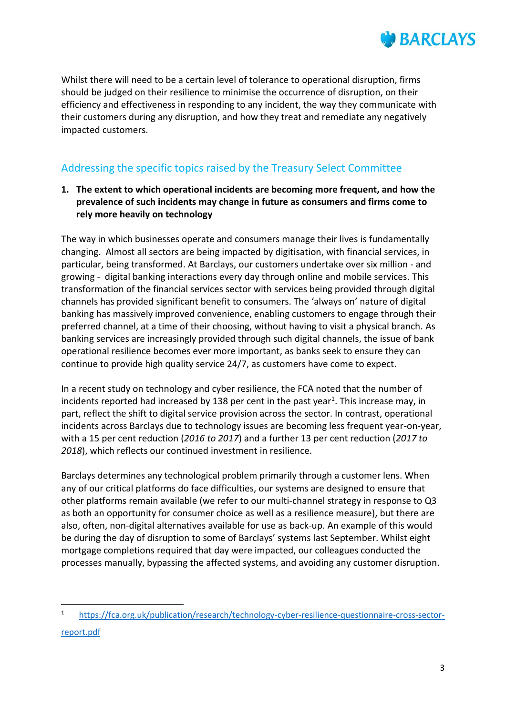

Whilst there will need to be a certain level of tolerance to operational disruption, firms should be judged on their resilience to minimise the occurrence of disruption, on their efficiency and effectiveness in responding to any incident, the way they communicate with their customers during any disruption, and how they treat and remediate any negatively impacted customers.

# Addressing the specific topics raised by the Treasury Select Committee

**1. The extent to which operational incidents are becoming more frequent, and how the prevalence of such incidents may change in future as consumers and firms come to rely more heavily on technology**

The way in which businesses operate and consumers manage their lives is fundamentally changing. Almost all sectors are being impacted by digitisation, with financial services, in particular, being transformed. At Barclays, our customers undertake over six million - and growing - digital banking interactions every day through online and mobile services. This transformation of the financial services sector with services being provided through digital channels has provided significant benefit to consumers. The 'always on' nature of digital banking has massively improved convenience, enabling customers to engage through their preferred channel, at a time of their choosing, without having to visit a physical branch. As banking services are increasingly provided through such digital channels, the issue of bank operational resilience becomes ever more important, as banks seek to ensure they can continue to provide high quality service 24/7, as customers have come to expect.

In a recent study on technology and cyber resilience, the FCA noted that the number of incidents reported had increased by 138 per cent in the past year<sup>1</sup>. This increase may, in part, reflect the shift to digital service provision across the sector. In contrast, operational incidents across Barclays due to technology issues are becoming less frequent year-on-year, with a 15 per cent reduction (*2016 to 2017*) and a further 13 per cent reduction (*2017 to 2018*), which reflects our continued investment in resilience.

Barclays determines any technological problem primarily through a customer lens. When any of our critical platforms do face difficulties, our systems are designed to ensure that other platforms remain available (we refer to our multi-channel strategy in response to Q3 as both an opportunity for consumer choice as well as a resilience measure), but there are also, often, non-digital alternatives available for use as back-up. An example of this would be during the day of disruption to some of Barclays' systems last September. Whilst eight mortgage completions required that day were impacted, our colleagues conducted the processes manually, bypassing the affected systems, and avoiding any customer disruption.

 $\overline{a}$ 

<sup>1</sup> [https://fca.org.uk/publication/research/technology-cyber-resilience-questionnaire-cross-sector](https://fca.org.uk/publication/research/technology-cyber-resilience-questionnaire-cross-sector-report.pdf)[report.pdf](https://fca.org.uk/publication/research/technology-cyber-resilience-questionnaire-cross-sector-report.pdf)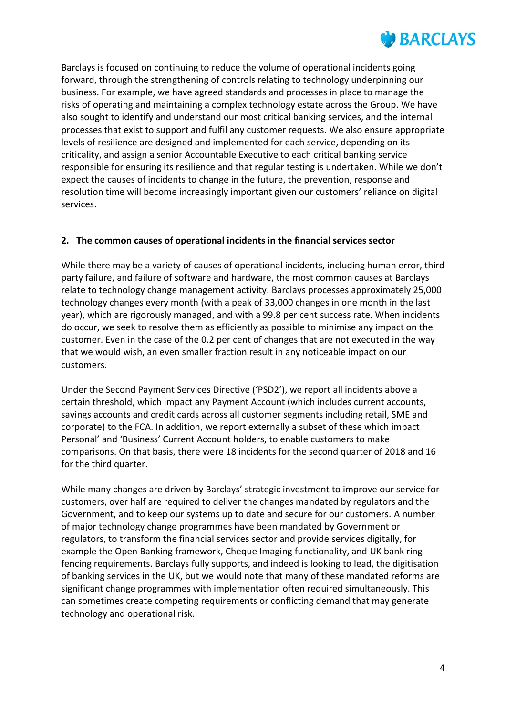

Barclays is focused on continuing to reduce the volume of operational incidents going forward, through the strengthening of controls relating to technology underpinning our business. For example, we have agreed standards and processes in place to manage the risks of operating and maintaining a complex technology estate across the Group. We have also sought to identify and understand our most critical banking services, and the internal processes that exist to support and fulfil any customer requests. We also ensure appropriate levels of resilience are designed and implemented for each service, depending on its criticality, and assign a senior Accountable Executive to each critical banking service responsible for ensuring its resilience and that regular testing is undertaken. While we don't expect the causes of incidents to change in the future, the prevention, response and resolution time will become increasingly important given our customers' reliance on digital services.

### **2. The common causes of operational incidents in the financial services sector**

While there may be a variety of causes of operational incidents, including human error, third party failure, and failure of software and hardware, the most common causes at Barclays relate to technology change management activity. Barclays processes approximately 25,000 technology changes every month (with a peak of 33,000 changes in one month in the last year), which are rigorously managed, and with a 99.8 per cent success rate. When incidents do occur, we seek to resolve them as efficiently as possible to minimise any impact on the customer. Even in the case of the 0.2 per cent of changes that are not executed in the way that we would wish, an even smaller fraction result in any noticeable impact on our customers.

Under the Second Payment Services Directive ('PSD2'), we report all incidents above a certain threshold, which impact any Payment Account (which includes current accounts, savings accounts and credit cards across all customer segments including retail, SME and corporate) to the FCA. In addition, we report externally a subset of these which impact Personal' and 'Business' Current Account holders, to enable customers to make comparisons. On that basis, there were 18 incidents for the second quarter of 2018 and 16 for the third quarter.

While many changes are driven by Barclays' strategic investment to improve our service for customers, over half are required to deliver the changes mandated by regulators and the Government, and to keep our systems up to date and secure for our customers. A number of major technology change programmes have been mandated by Government or regulators, to transform the financial services sector and provide services digitally, for example the Open Banking framework, Cheque Imaging functionality, and UK bank ringfencing requirements. Barclays fully supports, and indeed is looking to lead, the digitisation of banking services in the UK, but we would note that many of these mandated reforms are significant change programmes with implementation often required simultaneously. This can sometimes create competing requirements or conflicting demand that may generate technology and operational risk.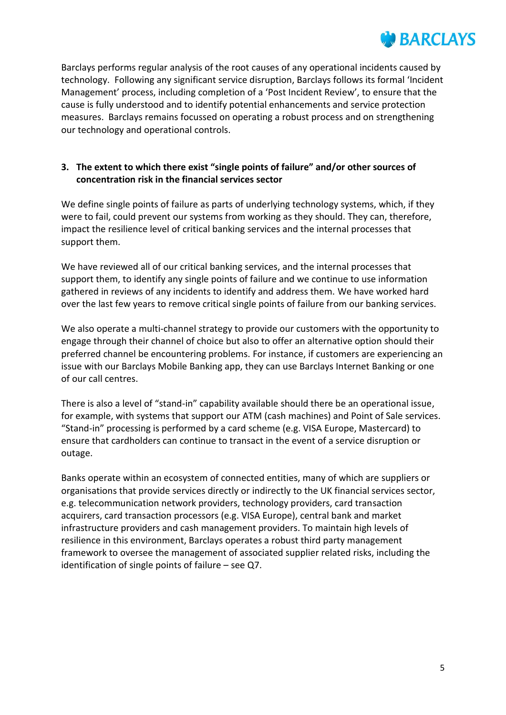

Barclays performs regular analysis of the root causes of any operational incidents caused by technology. Following any significant service disruption, Barclays follows its formal 'Incident Management' process, including completion of a 'Post Incident Review', to ensure that the cause is fully understood and to identify potential enhancements and service protection measures. Barclays remains focussed on operating a robust process and on strengthening our technology and operational controls.

#### **3. The extent to which there exist "single points of failure" and/or other sources of concentration risk in the financial services sector**

We define single points of failure as parts of underlying technology systems, which, if they were to fail, could prevent our systems from working as they should. They can, therefore, impact the resilience level of critical banking services and the internal processes that support them.

We have reviewed all of our critical banking services, and the internal processes that support them, to identify any single points of failure and we continue to use information gathered in reviews of any incidents to identify and address them. We have worked hard over the last few years to remove critical single points of failure from our banking services.

We also operate a multi-channel strategy to provide our customers with the opportunity to engage through their channel of choice but also to offer an alternative option should their preferred channel be encountering problems. For instance, if customers are experiencing an issue with our Barclays Mobile Banking app, they can use Barclays Internet Banking or one of our call centres.

There is also a level of "stand-in" capability available should there be an operational issue, for example, with systems that support our ATM (cash machines) and Point of Sale services. "Stand-in" processing is performed by a card scheme (e.g. VISA Europe, Mastercard) to ensure that cardholders can continue to transact in the event of a service disruption or outage.

Banks operate within an ecosystem of connected entities, many of which are suppliers or organisations that provide services directly or indirectly to the UK financial services sector, e.g. telecommunication network providers, technology providers, card transaction acquirers, card transaction processors (e.g. VISA Europe), central bank and market infrastructure providers and cash management providers. To maintain high levels of resilience in this environment, Barclays operates a robust third party management framework to oversee the management of associated supplier related risks, including the identification of single points of failure – see Q7.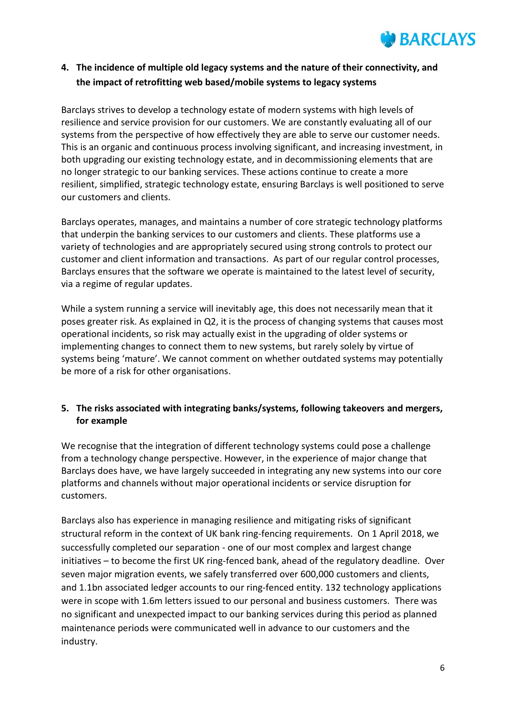

# **4. The incidence of multiple old legacy systems and the nature of their connectivity, and the impact of retrofitting web based/mobile systems to legacy systems**

Barclays strives to develop a technology estate of modern systems with high levels of resilience and service provision for our customers. We are constantly evaluating all of our systems from the perspective of how effectively they are able to serve our customer needs. This is an organic and continuous process involving significant, and increasing investment, in both upgrading our existing technology estate, and in decommissioning elements that are no longer strategic to our banking services. These actions continue to create a more resilient, simplified, strategic technology estate, ensuring Barclays is well positioned to serve our customers and clients.

Barclays operates, manages, and maintains a number of core strategic technology platforms that underpin the banking services to our customers and clients. These platforms use a variety of technologies and are appropriately secured using strong controls to protect our customer and client information and transactions. As part of our regular control processes, Barclays ensures that the software we operate is maintained to the latest level of security, via a regime of regular updates.

While a system running a service will inevitably age, this does not necessarily mean that it poses greater risk. As explained in Q2, it is the process of changing systems that causes most operational incidents, so risk may actually exist in the upgrading of older systems or implementing changes to connect them to new systems, but rarely solely by virtue of systems being 'mature'. We cannot comment on whether outdated systems may potentially be more of a risk for other organisations.

### **5. The risks associated with integrating banks/systems, following takeovers and mergers, for example**

We recognise that the integration of different technology systems could pose a challenge from a technology change perspective. However, in the experience of major change that Barclays does have, we have largely succeeded in integrating any new systems into our core platforms and channels without major operational incidents or service disruption for customers.

Barclays also has experience in managing resilience and mitigating risks of significant structural reform in the context of UK bank ring-fencing requirements. On 1 April 2018, we successfully completed our separation - one of our most complex and largest change initiatives – to become the first UK ring-fenced bank, ahead of the regulatory deadline. Over seven major migration events, we safely transferred over 600,000 customers and clients, and 1.1bn associated ledger accounts to our ring-fenced entity. 132 technology applications were in scope with 1.6m letters issued to our personal and business customers. There was no significant and unexpected impact to our banking services during this period as planned maintenance periods were communicated well in advance to our customers and the industry.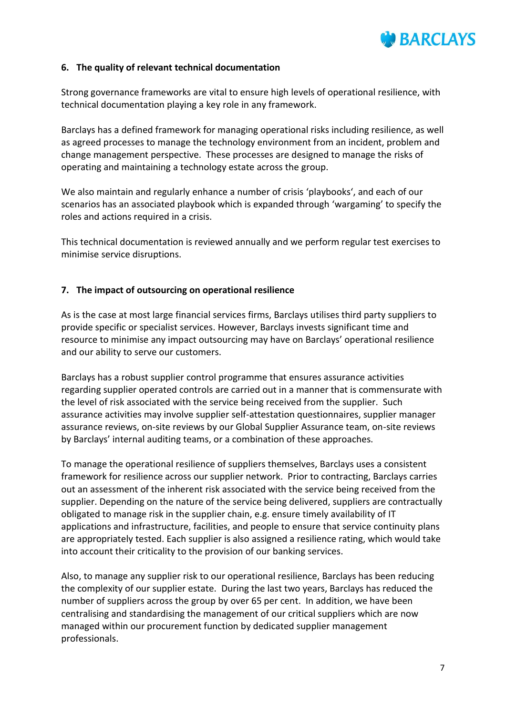

#### **6. The quality of relevant technical documentation**

Strong governance frameworks are vital to ensure high levels of operational resilience, with technical documentation playing a key role in any framework.

Barclays has a defined framework for managing operational risks including resilience, as well as agreed processes to manage the technology environment from an incident, problem and change management perspective. These processes are designed to manage the risks of operating and maintaining a technology estate across the group.

We also maintain and regularly enhance a number of crisis 'playbooks', and each of our scenarios has an associated playbook which is expanded through 'wargaming' to specify the roles and actions required in a crisis.

This technical documentation is reviewed annually and we perform regular test exercises to minimise service disruptions.

#### **7. The impact of outsourcing on operational resilience**

As is the case at most large financial services firms, Barclays utilises third party suppliers to provide specific or specialist services. However, Barclays invests significant time and resource to minimise any impact outsourcing may have on Barclays' operational resilience and our ability to serve our customers.

Barclays has a robust supplier control programme that ensures assurance activities regarding supplier operated controls are carried out in a manner that is commensurate with the level of risk associated with the service being received from the supplier. Such assurance activities may involve supplier self-attestation questionnaires, supplier manager assurance reviews, on-site reviews by our Global Supplier Assurance team, on-site reviews by Barclays' internal auditing teams, or a combination of these approaches.

To manage the operational resilience of suppliers themselves, Barclays uses a consistent framework for resilience across our supplier network. Prior to contracting, Barclays carries out an assessment of the inherent risk associated with the service being received from the supplier. Depending on the nature of the service being delivered, suppliers are contractually obligated to manage risk in the supplier chain, e.g. ensure timely availability of IT applications and infrastructure, facilities, and people to ensure that service continuity plans are appropriately tested. Each supplier is also assigned a resilience rating, which would take into account their criticality to the provision of our banking services.

Also, to manage any supplier risk to our operational resilience, Barclays has been reducing the complexity of our supplier estate. During the last two years, Barclays has reduced the number of suppliers across the group by over 65 per cent. In addition, we have been centralising and standardising the management of our critical suppliers which are now managed within our procurement function by dedicated supplier management professionals.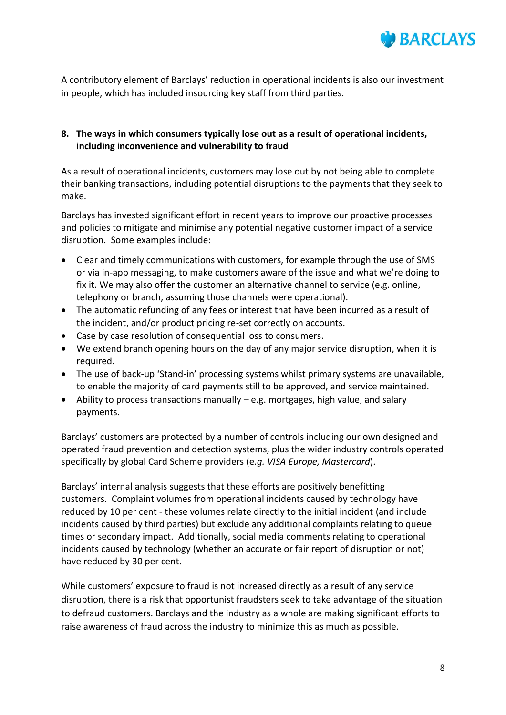

A contributory element of Barclays' reduction in operational incidents is also our investment in people, which has included insourcing key staff from third parties.

## **8. The ways in which consumers typically lose out as a result of operational incidents, including inconvenience and vulnerability to fraud**

As a result of operational incidents, customers may lose out by not being able to complete their banking transactions, including potential disruptions to the payments that they seek to make.

Barclays has invested significant effort in recent years to improve our proactive processes and policies to mitigate and minimise any potential negative customer impact of a service disruption. Some examples include:

- Clear and timely communications with customers, for example through the use of SMS or via in-app messaging, to make customers aware of the issue and what we're doing to fix it. We may also offer the customer an alternative channel to service (e.g. online, telephony or branch, assuming those channels were operational).
- The automatic refunding of any fees or interest that have been incurred as a result of the incident, and/or product pricing re-set correctly on accounts.
- Case by case resolution of consequential loss to consumers.
- We extend branch opening hours on the day of any major service disruption, when it is required.
- The use of back-up 'Stand-in' processing systems whilst primary systems are unavailable, to enable the majority of card payments still to be approved, and service maintained.
- Ability to process transactions manually e.g. mortgages, high value, and salary payments.

Barclays' customers are protected by a number of controls including our own designed and operated fraud prevention and detection systems, plus the wider industry controls operated specifically by global Card Scheme providers (e*.g. VISA Europe, Mastercard*).

Barclays' internal analysis suggests that these efforts are positively benefitting customers. Complaint volumes from operational incidents caused by technology have reduced by 10 per cent - these volumes relate directly to the initial incident (and include incidents caused by third parties) but exclude any additional complaints relating to queue times or secondary impact. Additionally, social media comments relating to operational incidents caused by technology (whether an accurate or fair report of disruption or not) have reduced by 30 per cent.

While customers' exposure to fraud is not increased directly as a result of any service disruption, there is a risk that opportunist fraudsters seek to take advantage of the situation to defraud customers. Barclays and the industry as a whole are making significant efforts to raise awareness of fraud across the industry to minimize this as much as possible.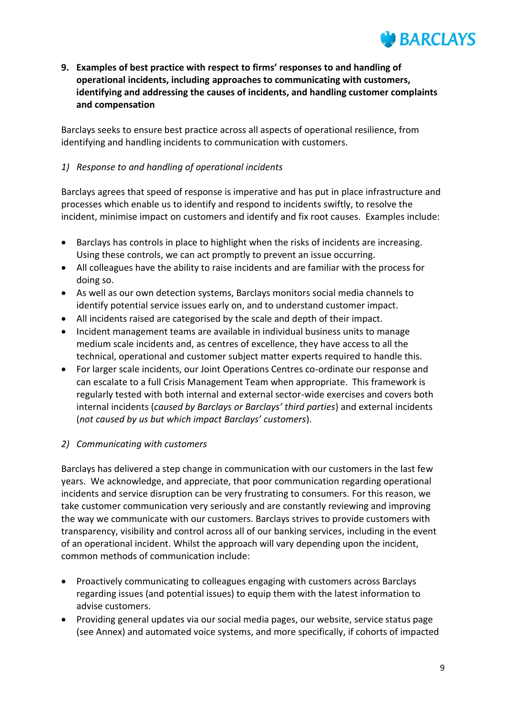

**9. Examples of best practice with respect to firms' responses to and handling of operational incidents, including approaches to communicating with customers, identifying and addressing the causes of incidents, and handling customer complaints and compensation**

Barclays seeks to ensure best practice across all aspects of operational resilience, from identifying and handling incidents to communication with customers.

### *1) Response to and handling of operational incidents*

Barclays agrees that speed of response is imperative and has put in place infrastructure and processes which enable us to identify and respond to incidents swiftly, to resolve the incident, minimise impact on customers and identify and fix root causes. Examples include:

- Barclays has controls in place to highlight when the risks of incidents are increasing. Using these controls, we can act promptly to prevent an issue occurring.
- All colleagues have the ability to raise incidents and are familiar with the process for doing so.
- As well as our own detection systems, Barclays monitors social media channels to identify potential service issues early on, and to understand customer impact.
- All incidents raised are categorised by the scale and depth of their impact.
- Incident management teams are available in individual business units to manage medium scale incidents and, as centres of excellence, they have access to all the technical, operational and customer subject matter experts required to handle this.
- For larger scale incidents, our Joint Operations Centres co-ordinate our response and can escalate to a full Crisis Management Team when appropriate. This framework is regularly tested with both internal and external sector-wide exercises and covers both internal incidents (*caused by Barclays or Barclays' third parties*) and external incidents (*not caused by us but which impact Barclays' customers*).

### *2) Communicating with customers*

Barclays has delivered a step change in communication with our customers in the last few years. We acknowledge, and appreciate, that poor communication regarding operational incidents and service disruption can be very frustrating to consumers. For this reason, we take customer communication very seriously and are constantly reviewing and improving the way we communicate with our customers. Barclays strives to provide customers with transparency, visibility and control across all of our banking services, including in the event of an operational incident. Whilst the approach will vary depending upon the incident, common methods of communication include:

- Proactively communicating to colleagues engaging with customers across Barclays regarding issues (and potential issues) to equip them with the latest information to advise customers.
- Providing general updates via our social media pages, our website, service status page (see Annex) and automated voice systems, and more specifically, if cohorts of impacted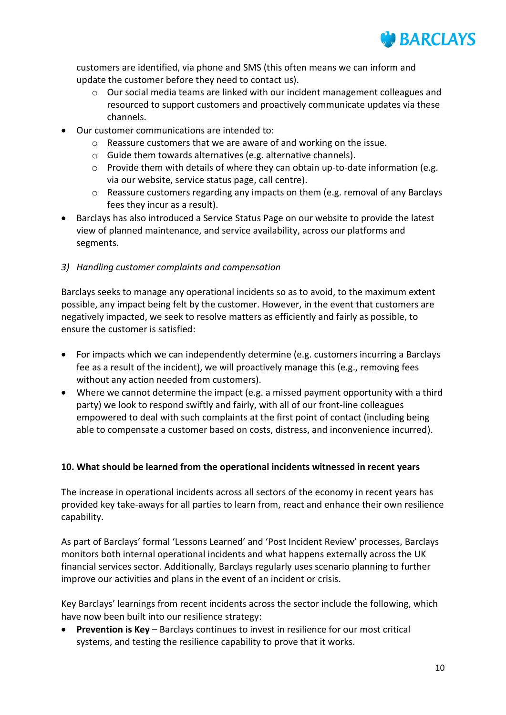

customers are identified, via phone and SMS (this often means we can inform and update the customer before they need to contact us).

- o Our social media teams are linked with our incident management colleagues and resourced to support customers and proactively communicate updates via these channels.
- Our customer communications are intended to:
	- $\circ$  Reassure customers that we are aware of and working on the issue.
	- o Guide them towards alternatives (e.g. alternative channels).
	- $\circ$  Provide them with details of where they can obtain up-to-date information (e.g. via our website, service status page, call centre).
	- o Reassure customers regarding any impacts on them (e.g. removal of any Barclays fees they incur as a result).
- Barclays has also introduced a Service Status Page on our website to provide the latest view of planned maintenance, and service availability, across our platforms and segments.
- *3) Handling customer complaints and compensation*

Barclays seeks to manage any operational incidents so as to avoid, to the maximum extent possible, any impact being felt by the customer. However, in the event that customers are negatively impacted, we seek to resolve matters as efficiently and fairly as possible, to ensure the customer is satisfied:

- For impacts which we can independently determine (e.g. customers incurring a Barclays fee as a result of the incident), we will proactively manage this (e.g., removing fees without any action needed from customers).
- Where we cannot determine the impact (e.g. a missed payment opportunity with a third party) we look to respond swiftly and fairly, with all of our front-line colleagues empowered to deal with such complaints at the first point of contact (including being able to compensate a customer based on costs, distress, and inconvenience incurred).

#### **10. What should be learned from the operational incidents witnessed in recent years**

The increase in operational incidents across all sectors of the economy in recent years has provided key take-aways for all parties to learn from, react and enhance their own resilience capability.

As part of Barclays' formal 'Lessons Learned' and 'Post Incident Review' processes, Barclays monitors both internal operational incidents and what happens externally across the UK financial services sector. Additionally, Barclays regularly uses scenario planning to further improve our activities and plans in the event of an incident or crisis.

Key Barclays' learnings from recent incidents across the sector include the following, which have now been built into our resilience strategy:

 **Prevention is Key** – Barclays continues to invest in resilience for our most critical systems, and testing the resilience capability to prove that it works.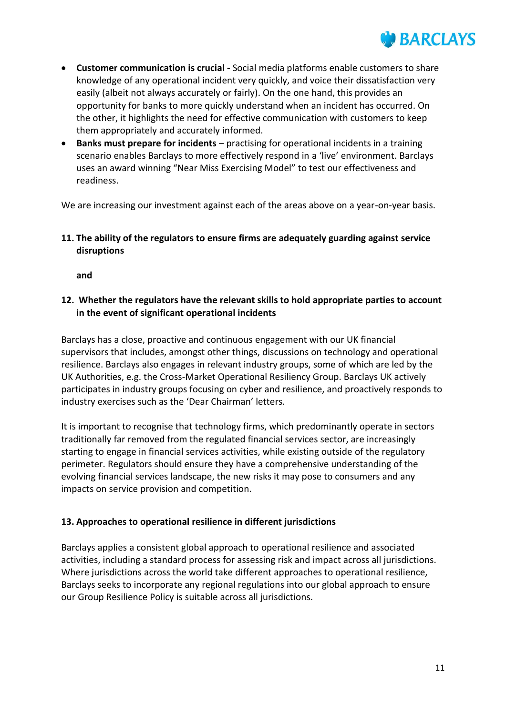

- **Customer communication is crucial -** Social media platforms enable customers to share knowledge of any operational incident very quickly, and voice their dissatisfaction very easily (albeit not always accurately or fairly). On the one hand, this provides an opportunity for banks to more quickly understand when an incident has occurred. On the other, it highlights the need for effective communication with customers to keep them appropriately and accurately informed.
- **Banks must prepare for incidents** practising for operational incidents in a training scenario enables Barclays to more effectively respond in a 'live' environment. Barclays uses an award winning "Near Miss Exercising Model" to test our effectiveness and readiness.

We are increasing our investment against each of the areas above on a year-on-year basis.

**11. The ability of the regulators to ensure firms are adequately guarding against service disruptions**

**and**

**12. Whether the regulators have the relevant skills to hold appropriate parties to account in the event of significant operational incidents**

Barclays has a close, proactive and continuous engagement with our UK financial supervisors that includes, amongst other things, discussions on technology and operational resilience. Barclays also engages in relevant industry groups, some of which are led by the UK Authorities, e.g. the Cross-Market Operational Resiliency Group. Barclays UK actively participates in industry groups focusing on cyber and resilience, and proactively responds to industry exercises such as the 'Dear Chairman' letters.

It is important to recognise that technology firms, which predominantly operate in sectors traditionally far removed from the regulated financial services sector, are increasingly starting to engage in financial services activities, while existing outside of the regulatory perimeter. Regulators should ensure they have a comprehensive understanding of the evolving financial services landscape, the new risks it may pose to consumers and any impacts on service provision and competition.

### **13. Approaches to operational resilience in different jurisdictions**

Barclays applies a consistent global approach to operational resilience and associated activities, including a standard process for assessing risk and impact across all jurisdictions. Where jurisdictions across the world take different approaches to operational resilience, Barclays seeks to incorporate any regional regulations into our global approach to ensure our Group Resilience Policy is suitable across all jurisdictions.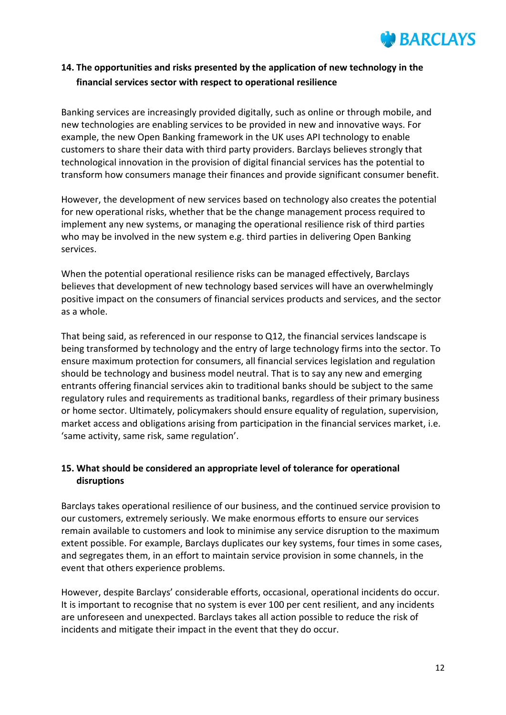

# **14. The opportunities and risks presented by the application of new technology in the financial services sector with respect to operational resilience**

Banking services are increasingly provided digitally, such as online or through mobile, and new technologies are enabling services to be provided in new and innovative ways. For example, the new Open Banking framework in the UK uses API technology to enable customers to share their data with third party providers. Barclays believes strongly that technological innovation in the provision of digital financial services has the potential to transform how consumers manage their finances and provide significant consumer benefit.

However, the development of new services based on technology also creates the potential for new operational risks, whether that be the change management process required to implement any new systems, or managing the operational resilience risk of third parties who may be involved in the new system e.g. third parties in delivering Open Banking services.

When the potential operational resilience risks can be managed effectively, Barclays believes that development of new technology based services will have an overwhelmingly positive impact on the consumers of financial services products and services, and the sector as a whole.

That being said, as referenced in our response to Q12, the financial services landscape is being transformed by technology and the entry of large technology firms into the sector. To ensure maximum protection for consumers, all financial services legislation and regulation should be technology and business model neutral. That is to say any new and emerging entrants offering financial services akin to traditional banks should be subject to the same regulatory rules and requirements as traditional banks, regardless of their primary business or home sector. Ultimately, policymakers should ensure equality of regulation, supervision, market access and obligations arising from participation in the financial services market, i.e. 'same activity, same risk, same regulation'.

## **15. What should be considered an appropriate level of tolerance for operational disruptions**

Barclays takes operational resilience of our business, and the continued service provision to our customers, extremely seriously. We make enormous efforts to ensure our services remain available to customers and look to minimise any service disruption to the maximum extent possible. For example, Barclays duplicates our key systems, four times in some cases, and segregates them, in an effort to maintain service provision in some channels, in the event that others experience problems.

However, despite Barclays' considerable efforts, occasional, operational incidents do occur. It is important to recognise that no system is ever 100 per cent resilient, and any incidents are unforeseen and unexpected. Barclays takes all action possible to reduce the risk of incidents and mitigate their impact in the event that they do occur.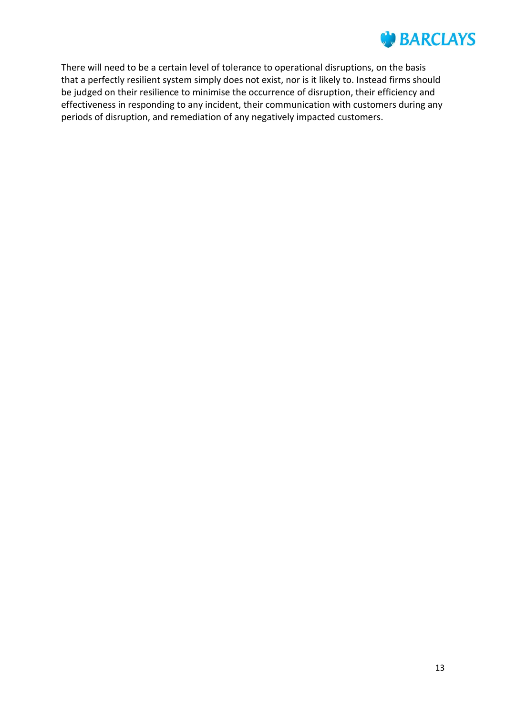# *DE BARCLAYS*

There will need to be a certain level of tolerance to operational disruptions, on the basis that a perfectly resilient system simply does not exist, nor is it likely to. Instead firms should be judged on their resilience to minimise the occurrence of disruption, their efficiency and effectiveness in responding to any incident, their communication with customers during any periods of disruption, and remediation of any negatively impacted customers.